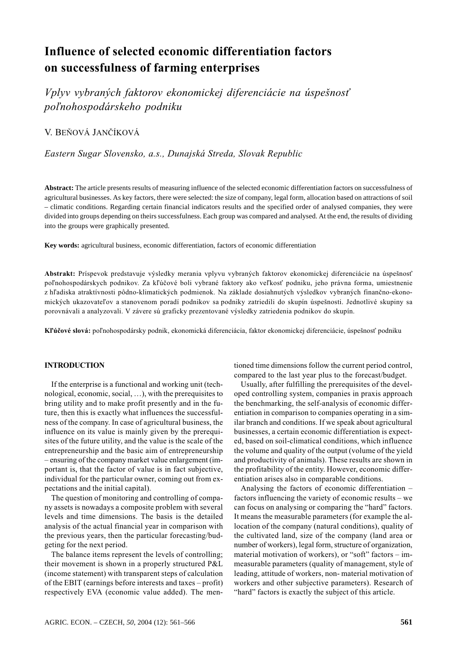# Influence of selected economic differentiation factors on successfulness of farming enterprises

Vplyv vybraných faktorov ekonomickej diferenciácie na úspešnosť poľnohospodárskeho podniku

V. BEŇOVÁ JANČÍKOVÁ

Eastern Sugar Slovensko, a.s., Dunajská Streda, Slovak Republic

Abstract: The article presents results of measuring influence of the selected economic differentiation factors on successfulness of agricultural businesses. As key factors, there were selected: the size of company, legal form, allocation based on attractions of soil - climatic conditions. Regarding certain financial indicators results and the specified order of analysed companies, they were divided into groups depending on theirs successfulness. Each group was compared and analysed. At the end, the results of dividing into the groups were graphically presented.

Key words: agricultural business, economic differentiation, factors of economic differentiation

Abstrakt: Príspevok predstavuje výsledky merania vplyvu vybraných faktorov ekonomickej diferenciácie na úspešnosť poľnohospodárskych podnikov. Za kľúčové boli vybrané faktory ako veľkosť podniku, jeho právna forma, umiestnenie z hľadiska atraktívnosti pôdno-klimatických podmienok. Na základe dosiahnutých výsledkov vybraných finančno-ekonomických ukazovateľov a stanovenom poradí podnikov sa podniky zatriedili do skupín úspešnosti. Jednotlivé skupiny sa porovnávali a analyzovali. V závere sú graficky prezentované výsledky zatriedenia podnikov do skupín.

Kľúčové slová: poľnohospodársky podnik, ekonomická diferenciácia, faktor ekonomickej diferenciácie, úspešnosť podniku

# **INTRODUCTION**

If the enterprise is a functional and working unit (technological, economic, social, ...), with the prerequisites to bring utility and to make profit presently and in the future, then this is exactly what influences the successfulness of the company. In case of agricultural business, the influence on its value is mainly given by the prerequisites of the future utility, and the value is the scale of the entrepreneurship and the basic aim of entrepreneurship - ensuring of the company market value enlargement (important is, that the factor of value is in fact subjective, individual for the particular owner, coming out from expectations and the initial capital).

The question of monitoring and controlling of company assets is nowadays a composite problem with several levels and time dimensions. The basis is the detailed analysis of the actual financial year in comparison with the previous years, then the particular forecasting/budgeting for the next period.

The balance items represent the levels of controlling; their movement is shown in a properly structured P&L (income statement) with transparent steps of calculation of the EBIT (earnings before interests and taxes – profit) respectively EVA (economic value added). The mentioned time dimensions follow the current period control, compared to the last year plus to the forecast/budget.

Usually, after fulfilling the prerequisites of the developed controlling system, companies in praxis approach the benchmarking, the self-analysis of economic differentiation in comparison to companies operating in a similar branch and conditions. If we speak about agricultural businesses, a certain economic differentiation is expected, based on soil-climatical conditions, which influence the volume and quality of the output (volume of the yield and productivity of animals). These results are shown in the profitability of the entity. However, economic differentiation arises also in comparable conditions.

Analysing the factors of economic differentiation – factors influencing the variety of economic results – we can focus on analysing or comparing the "hard" factors. It means the measurable parameters (for example the allocation of the company (natural conditions), quality of the cultivated land, size of the company (land area or number of workers), legal form, structure of organization, material motivation of workers), or "soft" factors - immeasurable parameters (quality of management, style of leading, attitude of workers, non-material motivation of workers and other subjective parameters). Research of "hard" factors is exactly the subject of this article.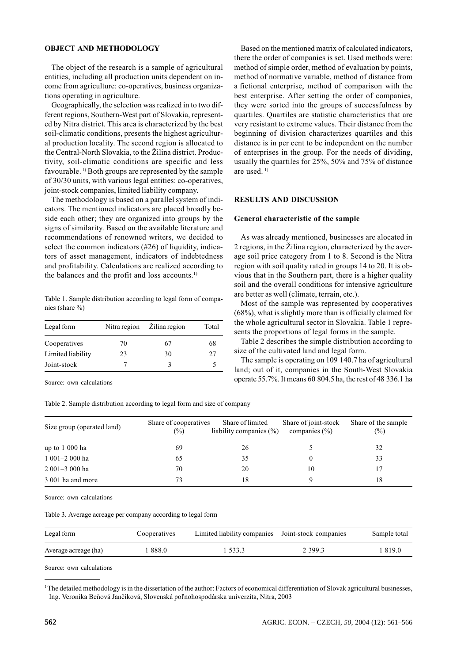## **OBJECT AND METHODOLOGY**

The object of the research is a sample of agricultural entities, including all production units dependent on income from agriculture: co-operatives, business organizations operating in agriculture.

Geographically, the selection was realized in to two different regions, Southern-West part of Slovakia, represented by Nitra district. This area is characterized by the best soil-climatic conditions, presents the highest agricultural production locality. The second region is allocated to the Central-North Slovakia, to the Žilina district. Productivity, soil-climatic conditions are specific and less favourable.<sup>1)</sup> Both groups are represented by the sample of 30/30 units, with various legal entities: co-operatives, joint-stock companies, limited liability company.

The methodology is based on a parallel system of indicators. The mentioned indicators are placed broadly beside each other; they are organized into groups by the signs of similarity. Based on the available literature and recommendations of renowned writers, we decided to select the common indicators (#26) of liquidity, indicators of asset management, indicators of indebtedness and profitability. Calculations are realized according to the balances and the profit and loss accounts.<sup>1)</sup>

Table 1. Sample distribution according to legal form of companies (share  $%$ )

| Legal form        |    | Nitra region <i>Žilina region</i> | Total |
|-------------------|----|-----------------------------------|-------|
| Cooperatives      | 70 | 67                                | 68    |
| Limited liability | 23 | 30                                | 27    |
| Joint-stock       |    |                                   |       |

Source: own calculations

Based on the mentioned matrix of calculated indicators, there the order of companies is set. Used methods were: method of simple order, method of evaluation by points. method of normative variable, method of distance from a fictional enterprise, method of comparison with the best enterprise. After setting the order of companies, they were sorted into the groups of successfulness by quartiles. Quartiles are statistic characteristics that are very resistant to extreme values. Their distance from the beginning of division characterizes quartiles and this distance is in per cent to be independent on the number of enterprises in the group. For the needs of dividing, usually the quartiles for  $25\%$ ,  $50\%$  and  $75\%$  of distance are used. $^{1)}$ 

## **RESULTS AND DISCUSSION**

#### General characteristic of the sample

As was already mentioned, businesses are alocated in 2 regions, in the Žilina region, characterized by the average soil price category from 1 to 8. Second is the Nitra region with soil quality rated in groups 14 to 20. It is obvious that in the Southern part, there is a higher quality soil and the overall conditions for intensive agriculture are better as well (climate, terrain, etc.).

Most of the sample was represented by cooperatives  $(68\%)$ , what is slightly more than is officially claimed for the whole agricultural sector in Slovakia. Table 1 represents the proportions of legal forms in the sample.

Table 2 describes the simple distribution according to size of the cultivated land and legal form.

The sample is operating on 109 140.7 ha of agricultural land; out of it, companies in the South-West Slovakia operate 55.7%. It means 60 804.5 ha, the rest of 48 336.1 ha

Table 2. Sample distribution according to legal form and size of company

| Size group (operated land) | Share of cooperatives<br>$\frac{6}{2}$ | Share of limited<br>liability companies $(\% )$ | Share of joint-stock<br>companies $(\% )$ | Share of the sample<br>$(\%)$ |
|----------------------------|----------------------------------------|-------------------------------------------------|-------------------------------------------|-------------------------------|
| up to $1000$ ha            | 69                                     | 26                                              |                                           | 32                            |
| $1001 - 2000$ ha           | 65                                     | 35                                              | 0                                         | 33                            |
| $2001 - 3000$ ha           | 70                                     | 20                                              | 10                                        | 17                            |
| 3 001 ha and more          | 73                                     | 18                                              | Q                                         | 18                            |

Source: own calculations

Table 3. Average acreage per company according to legal form

| Legal form           | Cooperatives | Limited liability companies Joint-stock companies |            | Sample total |
|----------------------|--------------|---------------------------------------------------|------------|--------------|
| Average acreage (ha) | 888.0        | 1 533.3                                           | 2 3 9 9 .3 | 1819.0       |

Source: own calculations

<sup>&</sup>lt;sup>1</sup>The detailed methodology is in the dissertation of the author: Factors of economical differentiation of Slovak agricultural businesses. Ing. Veronika Beňová Jančíková, Slovenská poľnohospodárska univerzita, Nitra, 2003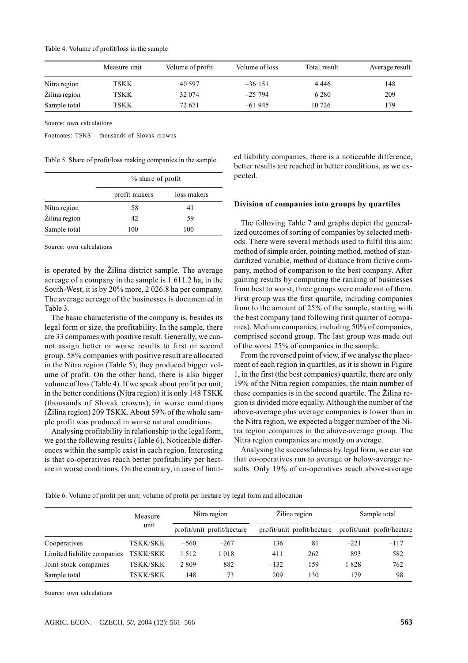|               | Measure unit | Volume of profit | Volume of loss | Total result | Average result |
|---------------|--------------|------------------|----------------|--------------|----------------|
| Nitra region  | TSKK         | 40 5 9 7         | $-36$ 151      | 4446         | 148            |
| Žilina region | TSKK         | 32 074           | $-25794$       | 6 2 8 0      | 209            |
| Sample total  | TSKK         | 72 671           | $-61945$       | 10 7 26      | 179            |

Table 4. Volume of profit/loss in the sample

Source: own calculations

Footnotes: TSKS – thousands of Slovak crowns

Table 5. Share of profit/loss making companies in the sample

|               | % share of profit |             |  |  |
|---------------|-------------------|-------------|--|--|
|               | profit makers     | loss makers |  |  |
| Nitra region  | 58                | 41          |  |  |
| Žilina region | 42                | 59          |  |  |
| Sample total  | 100               | 100         |  |  |

Source: own calculations

is operated by the Žilina district sample. The average acreage of a company in the sample is 1 611.2 ha, in the South-West, it is by 20% more, 2026.8 ha per company. The average acreage of the businesses is documented in Table 3.

The basic characteristic of the company is, besides its legal form or size, the profitability. In the sample, there are 33 companies with positive result. Generally, we cannot assign better or worse results to first or second group. 58% companies with positive result are allocated in the Nitra region (Table 5); they produced bigger volume of profit. On the other hand, there is also bigger volume of loss (Table 4). If we speak about profit per unit, in the better conditions (Nitra region) it is only 148 TSKK (thousands of Slovak crowns), in worse conditions (Žilina region) 209 TSKK. About 59% of the whole sample profit was produced in worse natural conditions.

Analysing profitability in relationship to the legal form, we got the following results (Table 6). Noticeable differences within the sample exist in each region. Interesting is that co-operatives reach better profitability per hectare in worse conditions. On the contrary, in case of limited liability companies, there is a noticeable difference, better results are reached in better conditions, as we expected.

#### Division of companies into groups by quartiles

The folloving Table 7 and graphs depict the generalized outcomes of sorting of companies by selected methods. There were several methods used to fulfil this aim: method of simple order, pointing method, method of standardized variable, method of distance from fictive company, method of comparison to the best company. After gaining results by computing the ranking of businesses from best to worst, three groups were made out of them. First group was the first quartile, including companies from to the amount of 25% of the sample, starting with the best company (and following first quarter of companies). Medium companies, including 50% of companies, comprised second group. The last group was made out of the worst 25% of companies in the sample.

From the reversed point of view, if we analyse the placement of each region in quartiles, as it is shown in Figure 1, in the first (the best companies) quartile, there are only 19% of the Nitra region companies, the main number of these companies is in the second quartile. The Žilina region is divided more equally. Although the number of the above-average plus average companies is lower than in the Nitra region, we expected a bigger number of the Nitra region companies in the above-average group. The Nitra region companies are mostly on average.

Analysing the successfulness by legal form, we can see that co-operatives run to average or below-average results. Only 19% of co-operatives reach above-average

Table 6. Volume of profit per unit; volume of profit per hectare by legal form and allocation

|                             | Measure         | Žilina region<br>Nitra region<br>profit/unit profit/hectare |        |                            | Sample total<br>profit/unit profit/hectare |        |        |
|-----------------------------|-----------------|-------------------------------------------------------------|--------|----------------------------|--------------------------------------------|--------|--------|
|                             | unit            |                                                             |        | profit/unit profit/hectare |                                            |        |        |
| Cooperatives                | <b>TSKK/SKK</b> | $-560$                                                      | $-267$ | 136                        | 81                                         | $-221$ | $-117$ |
| Limited liability companies | <b>TSKK/SKK</b> | 1512                                                        | l 018  | 411                        | 262                                        | 893    | 582    |
| Joint-stock companies       | <b>TSKK/SKK</b> | 2809                                                        | 882    | $-132$                     | $-159$                                     | 1828   | 762    |
| Sample total                | <b>TSKK/SKK</b> | 148                                                         | 73     | 209                        | 130                                        | 179    | 98     |

Source: own calculations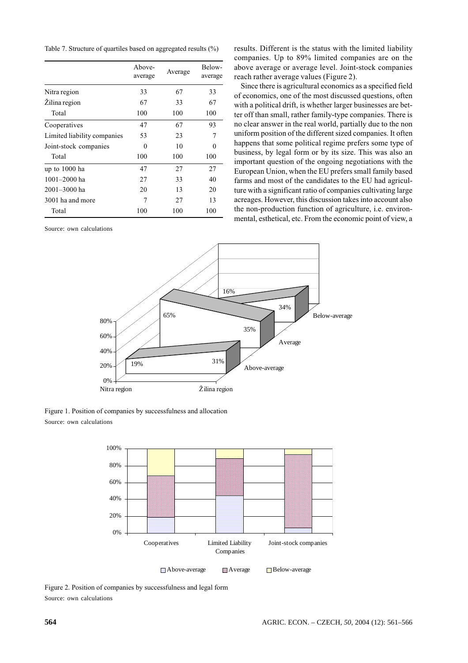Table 7. Structure of quartiles based on aggregated results (%)

|                             | Above-<br>average | Average | Below-<br>average |
|-----------------------------|-------------------|---------|-------------------|
| Nitra region                | 33                | 67      | 33                |
| Žilina region               | 67                | 33      | 67                |
| Total                       | 100               | 100     | 100               |
| Cooperatives                | 47                | 67      | 93                |
| Limited liability companies | 53                | 23      | 7                 |
| Joint-stock companies       | 0                 | 10      | $\Omega$          |
| Total                       | 100               | 100     | 100               |
| up to 1000 ha               | 47                | 27      | 27                |
| $1001 - 2000$ ha            | 27                | 33      | 40                |
| $2001 - 3000$ ha            | 20                | 13      | 20                |
| 3001 ha and more            | 7                 | 27      | 13                |
| Total                       | 100               | 100     | 100               |

Source: own calculations

results. Different is the status with the limited liability companies. Up to 89% limited companies are on the above average or average level. Joint-stock companies reach rather average values (Figure 2).

Since there is agricultural economics as a specified field of economics, one of the most discussed questions, often with a political drift, is whether larger businesses are better off than small, rather family-type companies. There is no clear answer in the real world, partially due to the non uniform position of the different sized companies. It often happens that some political regime prefers some type of business, by legal form or by its size. This was also an important question of the ongoing negotiations with the European Union, when the EU prefers small family based farms and most of the candidates to the EU had agriculture with a significant ratio of companies cultivating large acreages. However, this discussion takes into account also the non-production function of agriculture, i.e. environmental, esthetical, etc. From the economic point of view, a



Figure 1. Position of companies by successfulness and allocation Source: own calculations



Figure 2. Position of companies by successfulness and legal form Source: own calculations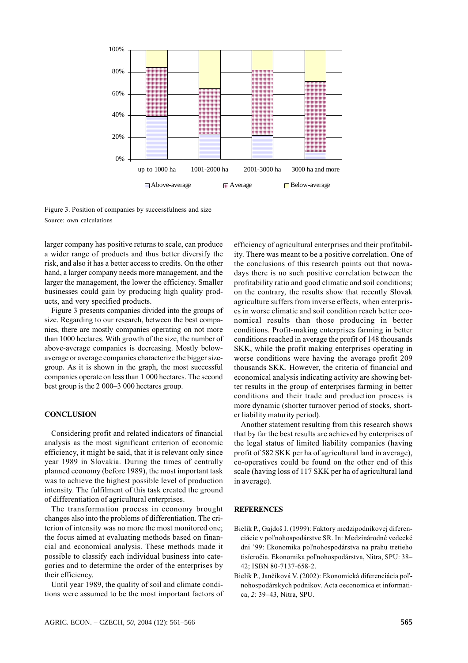

Figure 3. Position of companies by successfulness and size Source: own calculations

larger company has positive returns to scale, can produce a wider range of products and thus better diversify the risk, and also it has a better access to credits. On the other hand, a larger company needs more management, and the larger the management, the lower the efficiency. Smaller businesses could gain by producing high quality products, and very specified products.

Figure 3 presents companies divided into the groups of size. Regarding to our research, between the best companies, there are mostly companies operating on not more than 1000 hectares. With growth of the size, the number of above-average companies is decreasing. Mostly belowaverage or average companies characterize the bigger sizegroup. As it is shown in the graph, the most successful companies operate on less than 1 000 hectares. The second best group is the 2 000–3 000 hectares group.

### **CONCLUSION**

Considering profit and related indicators of financial analysis as the most significant criterion of economic efficiency, it might be said, that it is relevant only since vear 1989 in Slovakia. During the times of centrally planned economy (before 1989), the most important task was to achieve the highest possible level of production intensity. The fulfilment of this task created the ground of differentiation of agricultural enterprises.

The transformation process in economy brought changes also into the problems of differentiation. The criterion of intensity was no more the most monitored one; the focus aimed at evaluating methods based on financial and economical analysis. These methods made it possible to classify each individual business into categories and to determine the order of the enterprises by their efficiency.

Until year 1989, the quality of soil and climate conditions were assumed to be the most important factors of efficiency of agricultural enterprises and their profitability. There was meant to be a positive correlation. One of the conclusions of this research points out that nowadays there is no such positive correlation between the profitability ratio and good climatic and soil conditions; on the contrary, the results show that recently Slovak agriculture suffers from inverse effects, when enterprises in worse climatic and soil condition reach better economical results than those producing in better conditions. Profit-making enterprises farming in better conditions reached in average the profit of 148 thousands SKK, while the profit making enterprises operating in worse conditions were having the average profit 209 thousands SKK. However, the criteria of financial and economical analysis indicating activity are showing better results in the group of enterprises farming in better conditions and their trade and production process is more dynamic (shorter turnover period of stocks, shorter liability maturity period).

Another statement resulting from this research shows that by far the best results are achieved by enterprises of the legal status of limited liability companies (having profit of 582 SKK per ha of agricultural land in average), co-operatives could be found on the other end of this scale (having loss of 117 SKK per ha of agricultural land in average).

#### **REFERENCES**

- Bielik P., Gajdoš I. (1999): Faktory medzipodnikovej diferenciácie v poľnohospodárstve SR. In: Medzinárodné vedecké dni '99: Ekonomika poľnohospodárstva na prahu tretieho tisícročia. Ekonomika poľnohospodárstva. Nitra. SPU: 38-42: ISBN 80-7137-658-2.
- Bielik P., Jančíková V. (2002): Ekonomická diferenciácia poľnohospodárskych podnikov. Acta oeconomica et informatica. 2: 39-43. Nitra. SPU.